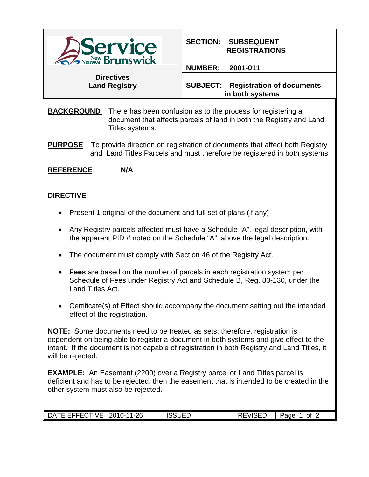

## **SECTION: SUBSEQUENT REGISTRATIONS**

## **NUMBER: 2001-011**

**Directives Land Registry**

**SUBJECT: Registration of documents in both systems**

**BACKGROUND** There has been confusion as to the process for registering a document that affects parcels of land in both the Registry and Land Titles systems.

**PURPOSE** To provide direction on registration of documents that affect both Registry and Land Titles Parcels and must therefore be registered in both systems

**REFERENCE***.* **N/A**

## **DIRECTIVE**

- Present 1 original of the document and full set of plans (if any)
- Any Registry parcels affected must have a Schedule "A", legal description, with the apparent PID # noted on the Schedule "A", above the legal description.
- The document must comply with Section 46 of the Registry Act.
- **Fees** are based on the number of parcels in each registration system per Schedule of Fees under Registry Act and Schedule B, Reg. 83-130, under the Land Titles Act.
- Certificate(s) of Effect should accompany the document setting out the intended effect of the registration.

**NOTE:** Some documents need to be treated as sets; therefore, registration is dependent on being able to register a document in both systems and give effect to the intent. If the document is not capable of registration in both Registry and Land Titles, it will be rejected.

**EXAMPLE:** An Easement (2200) over a Registry parcel or Land Titles parcel is deficient and has to be rejected, then the easement that is intended to be created in the other system must also be rejected.

| -------<br>'IVF<br>`A<br>$\sim$ | つに<br>?∩∶<br>. .<br><br>∠∪<br>$ -$ | $\cdot$ $\sim$<br>____ | $\cdots$ $\sim$ $\sim$ $\sim$ | age<br>Ωt |  |
|---------------------------------|------------------------------------|------------------------|-------------------------------|-----------|--|